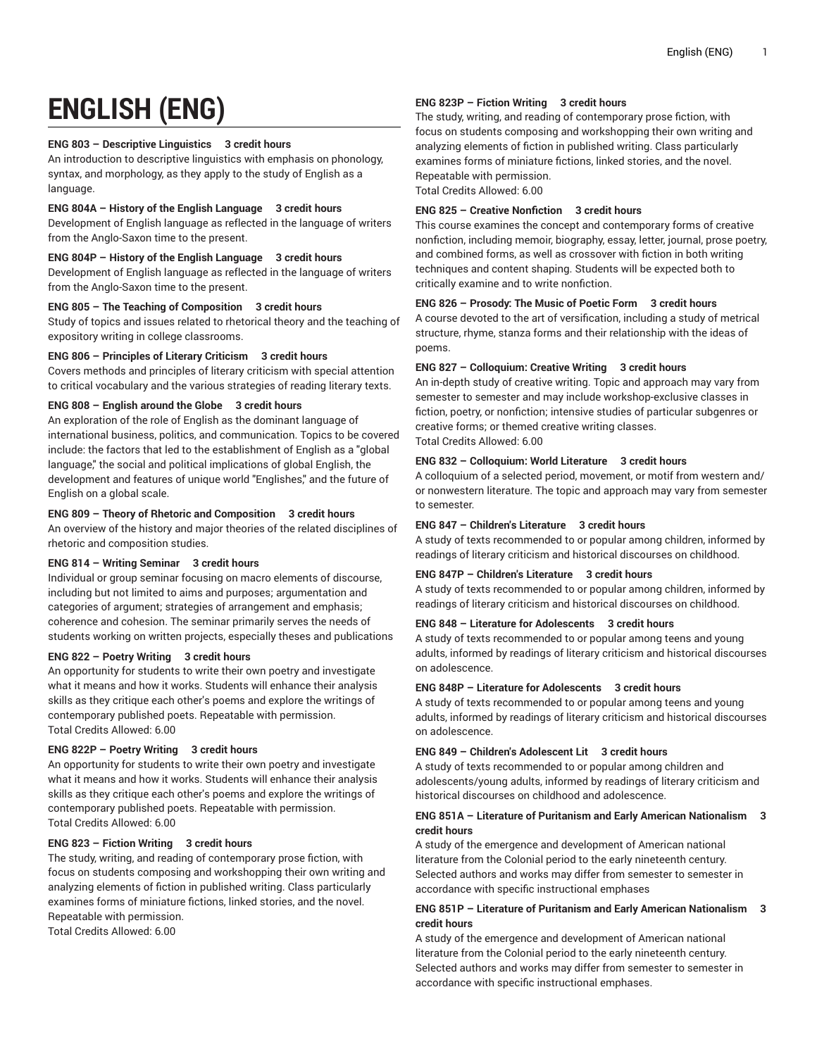# **ENGLISH (ENG)**

# **ENG 803 – Descriptive Linguistics 3 credit hours**

An introduction to descriptive linguistics with emphasis on phonology, syntax, and morphology, as they apply to the study of English as a language.

# **ENG 804A – History of the English Language 3 credit hours**

Development of English language as reflected in the language of writers from the Anglo-Saxon time to the present.

# **ENG 804P – History of the English Language 3 credit hours**

Development of English language as reflected in the language of writers from the Anglo-Saxon time to the present.

# **ENG 805 – The Teaching of Composition 3 credit hours**

Study of topics and issues related to rhetorical theory and the teaching of expository writing in college classrooms.

# **ENG 806 – Principles of Literary Criticism 3 credit hours**

Covers methods and principles of literary criticism with special attention to critical vocabulary and the various strategies of reading literary texts.

# **ENG 808 – English around the Globe 3 credit hours**

An exploration of the role of English as the dominant language of international business, politics, and communication. Topics to be covered include: the factors that led to the establishment of English as a "global language," the social and political implications of global English, the development and features of unique world "Englishes," and the future of English on a global scale.

# **ENG 809 – Theory of Rhetoric and Composition 3 credit hours**

An overview of the history and major theories of the related disciplines of rhetoric and composition studies.

# **ENG 814 – Writing Seminar 3 credit hours**

Individual or group seminar focusing on macro elements of discourse, including but not limited to aims and purposes; argumentation and categories of argument; strategies of arrangement and emphasis; coherence and cohesion. The seminar primarily serves the needs of students working on written projects, especially theses and publications

#### **ENG 822 – Poetry Writing 3 credit hours**

An opportunity for students to write their own poetry and investigate what it means and how it works. Students will enhance their analysis skills as they critique each other's poems and explore the writings of contemporary published poets. Repeatable with permission. Total Credits Allowed: 6.00

# **ENG 822P – Poetry Writing 3 credit hours**

An opportunity for students to write their own poetry and investigate what it means and how it works. Students will enhance their analysis skills as they critique each other's poems and explore the writings of contemporary published poets. Repeatable with permission. Total Credits Allowed: 6.00

#### **ENG 823 – Fiction Writing 3 credit hours**

The study, writing, and reading of contemporary prose fiction, with focus on students composing and workshopping their own writing and analyzing elements of fiction in published writing. Class particularly examines forms of miniature fictions, linked stories, and the novel. Repeatable with permission.

Total Credits Allowed: 6.00

# **ENG 823P – Fiction Writing 3 credit hours**

The study, writing, and reading of contemporary prose fiction, with focus on students composing and workshopping their own writing and analyzing elements of fiction in published writing. Class particularly examines forms of miniature fictions, linked stories, and the novel. Repeatable with permission. Total Credits Allowed: 6.00

#### **ENG 825 – Creative Nonfiction 3 credit hours**

This course examines the concept and contemporary forms of creative nonfiction, including memoir, biography, essay, letter, journal, prose poetry, and combined forms, as well as crossover with fiction in both writing techniques and content shaping. Students will be expected both to critically examine and to write nonfiction.

#### **ENG 826 – Prosody: The Music of Poetic Form 3 credit hours**

A course devoted to the art of versification, including a study of metrical structure, rhyme, stanza forms and their relationship with the ideas of poems.

#### **ENG 827 – Colloquium: Creative Writing 3 credit hours**

An in-depth study of creative writing. Topic and approach may vary from semester to semester and may include workshop-exclusive classes in fiction, poetry, or nonfiction; intensive studies of particular subgenres or creative forms; or themed creative writing classes. Total Credits Allowed: 6.00

# **ENG 832 – Colloquium: World Literature 3 credit hours**

A colloquium of a selected period, movement, or motif from western and/ or nonwestern literature. The topic and approach may vary from semester to semester.

# **ENG 847 – Children's Literature 3 credit hours**

A study of texts recommended to or popular among children, informed by readings of literary criticism and historical discourses on childhood.

#### **ENG 847P – Children's Literature 3 credit hours**

A study of texts recommended to or popular among children, informed by readings of literary criticism and historical discourses on childhood.

# **ENG 848 – Literature for Adolescents 3 credit hours**

A study of texts recommended to or popular among teens and young adults, informed by readings of literary criticism and historical discourses on adolescence.

### **ENG 848P – Literature for Adolescents 3 credit hours**

A study of texts recommended to or popular among teens and young adults, informed by readings of literary criticism and historical discourses on adolescence.

# **ENG 849 – Children's Adolescent Lit 3 credit hours**

A study of texts recommended to or popular among children and adolescents/young adults, informed by readings of literary criticism and historical discourses on childhood and adolescence.

#### **ENG 851A – Literature of Puritanism and Early American Nationalism 3 credit hours**

A study of the emergence and development of American national literature from the Colonial period to the early nineteenth century. Selected authors and works may differ from semester to semester in accordance with specific instructional emphases

# **ENG 851P – Literature of Puritanism and Early American Nationalism 3 credit hours**

A study of the emergence and development of American national literature from the Colonial period to the early nineteenth century. Selected authors and works may differ from semester to semester in accordance with specific instructional emphases.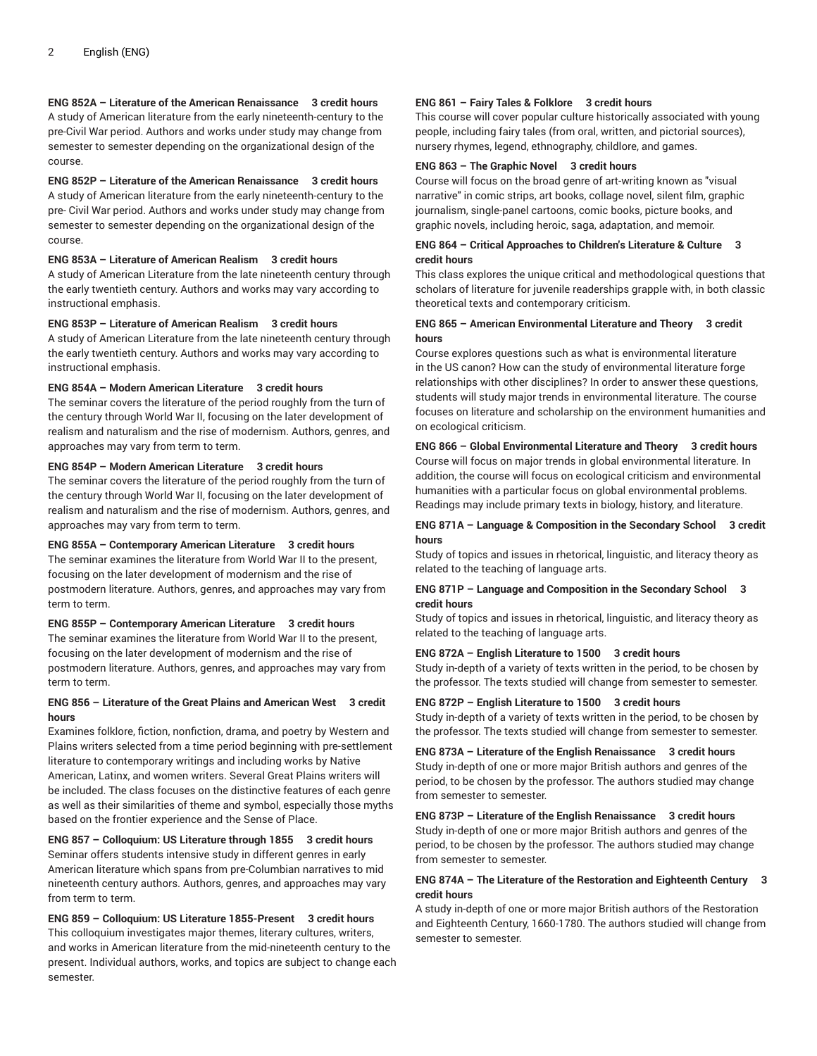# **ENG 852A – Literature of the American Renaissance 3 credit hours**

A study of American literature from the early nineteenth-century to the pre-Civil War period. Authors and works under study may change from semester to semester depending on the organizational design of the course.

# **ENG 852P – Literature of the American Renaissance 3 credit hours**

A study of American literature from the early nineteenth-century to the pre- Civil War period. Authors and works under study may change from semester to semester depending on the organizational design of the course.

#### **ENG 853A – Literature of American Realism 3 credit hours**

A study of American Literature from the late nineteenth century through the early twentieth century. Authors and works may vary according to instructional emphasis.

# **ENG 853P – Literature of American Realism 3 credit hours**

A study of American Literature from the late nineteenth century through the early twentieth century. Authors and works may vary according to instructional emphasis.

# **ENG 854A – Modern American Literature 3 credit hours**

The seminar covers the literature of the period roughly from the turn of the century through World War II, focusing on the later development of realism and naturalism and the rise of modernism. Authors, genres, and approaches may vary from term to term.

#### **ENG 854P – Modern American Literature 3 credit hours**

The seminar covers the literature of the period roughly from the turn of the century through World War II, focusing on the later development of realism and naturalism and the rise of modernism. Authors, genres, and approaches may vary from term to term.

#### **ENG 855A – Contemporary American Literature 3 credit hours**

The seminar examines the literature from World War II to the present, focusing on the later development of modernism and the rise of postmodern literature. Authors, genres, and approaches may vary from term to term.

## **ENG 855P – Contemporary American Literature 3 credit hours**

The seminar examines the literature from World War II to the present, focusing on the later development of modernism and the rise of postmodern literature. Authors, genres, and approaches may vary from term to term.

# **ENG 856 – Literature of the Great Plains and American West 3 credit hours**

Examines folklore, fiction, nonfiction, drama, and poetry by Western and Plains writers selected from a time period beginning with pre-settlement literature to contemporary writings and including works by Native American, Latinx, and women writers. Several Great Plains writers will be included. The class focuses on the distinctive features of each genre as well as their similarities of theme and symbol, especially those myths based on the frontier experience and the Sense of Place.

# **ENG 857 – Colloquium: US Literature through 1855 3 credit hours** Seminar offers students intensive study in different genres in early American literature which spans from pre-Columbian narratives to mid nineteenth century authors. Authors, genres, and approaches may vary from term to term.

**ENG 859 – Colloquium: US Literature 1855-Present 3 credit hours** This colloquium investigates major themes, literary cultures, writers, and works in American literature from the mid-nineteenth century to the present. Individual authors, works, and topics are subject to change each semester.

# **ENG 861 – Fairy Tales & Folklore 3 credit hours**

This course will cover popular culture historically associated with young people, including fairy tales (from oral, written, and pictorial sources), nursery rhymes, legend, ethnography, childlore, and games.

#### **ENG 863 – The Graphic Novel 3 credit hours**

Course will focus on the broad genre of art-writing known as "visual narrative" in comic strips, art books, collage novel, silent film, graphic journalism, single-panel cartoons, comic books, picture books, and graphic novels, including heroic, saga, adaptation, and memoir.

#### **ENG 864 – Critical Approaches to Children's Literature & Culture 3 credit hours**

This class explores the unique critical and methodological questions that scholars of literature for juvenile readerships grapple with, in both classic theoretical texts and contemporary criticism.

#### **ENG 865 – American Environmental Literature and Theory 3 credit hours**

Course explores questions such as what is environmental literature in the US canon? How can the study of environmental literature forge relationships with other disciplines? In order to answer these questions, students will study major trends in environmental literature. The course focuses on literature and scholarship on the environment humanities and on ecological criticism.

#### **ENG 866 – Global Environmental Literature and Theory 3 credit hours**

Course will focus on major trends in global environmental literature. In addition, the course will focus on ecological criticism and environmental humanities with a particular focus on global environmental problems. Readings may include primary texts in biology, history, and literature.

### **ENG 871A – Language & Composition in the Secondary School 3 credit hours**

Study of topics and issues in rhetorical, linguistic, and literacy theory as related to the teaching of language arts.

#### **ENG 871P – Language and Composition in the Secondary School 3 credit hours**

Study of topics and issues in rhetorical, linguistic, and literacy theory as related to the teaching of language arts.

#### **ENG 872A – English Literature to 1500 3 credit hours**

Study in-depth of a variety of texts written in the period, to be chosen by the professor. The texts studied will change from semester to semester.

# **ENG 872P – English Literature to 1500 3 credit hours**

Study in-depth of a variety of texts written in the period, to be chosen by the professor. The texts studied will change from semester to semester.

**ENG 873A – Literature of the English Renaissance 3 credit hours** Study in-depth of one or more major British authors and genres of the period, to be chosen by the professor. The authors studied may change from semester to semester.

# **ENG 873P – Literature of the English Renaissance 3 credit hours** Study in-depth of one or more major British authors and genres of the period, to be chosen by the professor. The authors studied may change from semester to semester.

# **ENG 874A – The Literature of the Restoration and Eighteenth Century 3 credit hours**

A study in-depth of one or more major British authors of the Restoration and Eighteenth Century, 1660-1780. The authors studied will change from semester to semester.